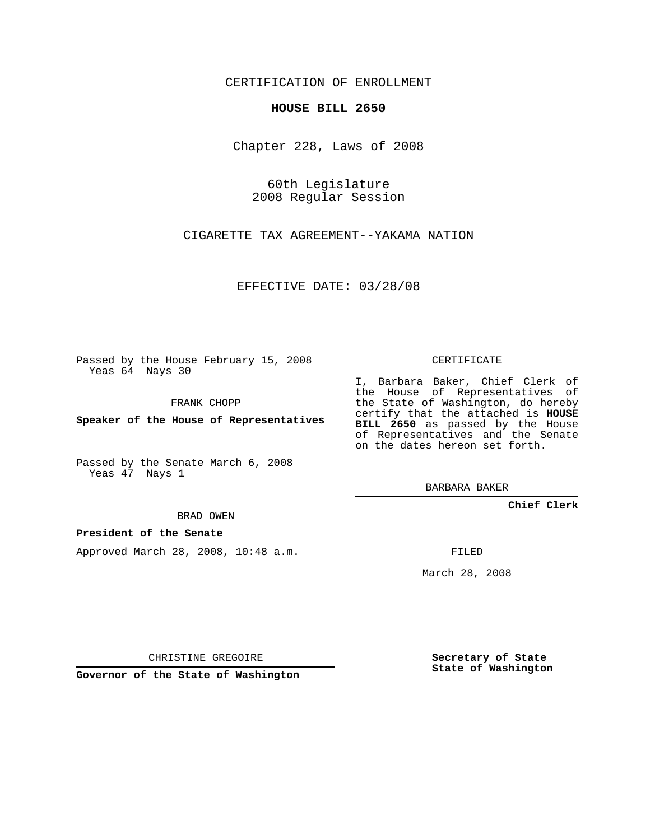CERTIFICATION OF ENROLLMENT

## **HOUSE BILL 2650**

Chapter 228, Laws of 2008

60th Legislature 2008 Regular Session

CIGARETTE TAX AGREEMENT--YAKAMA NATION

EFFECTIVE DATE: 03/28/08

Passed by the House February 15, 2008 Yeas 64 Nays 30

FRANK CHOPP

**Speaker of the House of Representatives**

Passed by the Senate March 6, 2008 Yeas 47 Nays 1

BRAD OWEN

## **President of the Senate**

Approved March 28, 2008, 10:48 a.m.

CERTIFICATE

I, Barbara Baker, Chief Clerk of the House of Representatives of the State of Washington, do hereby certify that the attached is **HOUSE BILL 2650** as passed by the House of Representatives and the Senate on the dates hereon set forth.

BARBARA BAKER

**Chief Clerk**

FILED

March 28, 2008

CHRISTINE GREGOIRE

**Governor of the State of Washington**

**Secretary of State State of Washington**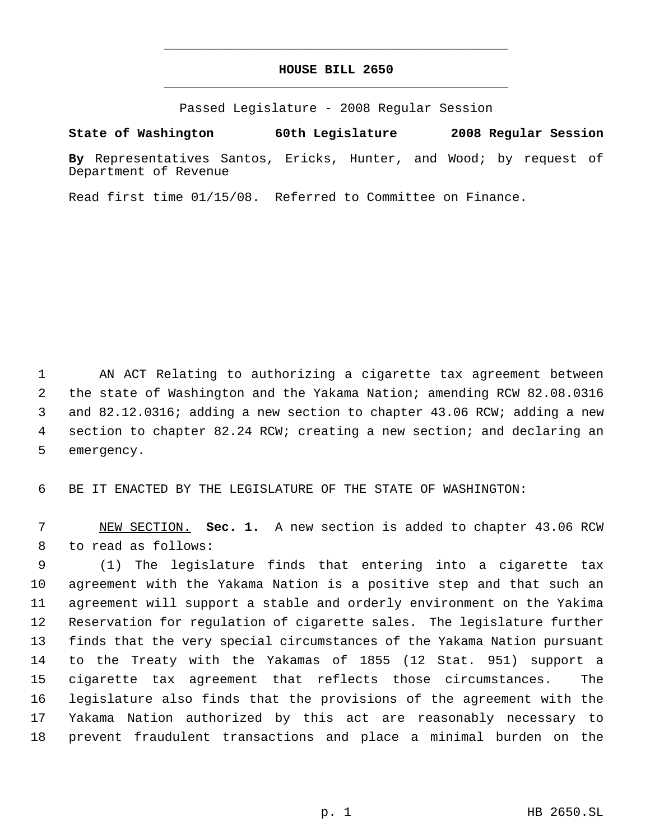## **HOUSE BILL 2650** \_\_\_\_\_\_\_\_\_\_\_\_\_\_\_\_\_\_\_\_\_\_\_\_\_\_\_\_\_\_\_\_\_\_\_\_\_\_\_\_\_\_\_\_\_

\_\_\_\_\_\_\_\_\_\_\_\_\_\_\_\_\_\_\_\_\_\_\_\_\_\_\_\_\_\_\_\_\_\_\_\_\_\_\_\_\_\_\_\_\_

Passed Legislature - 2008 Regular Session

**State of Washington 60th Legislature 2008 Regular Session**

**By** Representatives Santos, Ericks, Hunter, and Wood; by request of Department of Revenue

Read first time 01/15/08. Referred to Committee on Finance.

 AN ACT Relating to authorizing a cigarette tax agreement between the state of Washington and the Yakama Nation; amending RCW 82.08.0316 and 82.12.0316; adding a new section to chapter 43.06 RCW; adding a new section to chapter 82.24 RCW; creating a new section; and declaring an emergency.

BE IT ENACTED BY THE LEGISLATURE OF THE STATE OF WASHINGTON:

 NEW SECTION. **Sec. 1.** A new section is added to chapter 43.06 RCW to read as follows:

 (1) The legislature finds that entering into a cigarette tax agreement with the Yakama Nation is a positive step and that such an agreement will support a stable and orderly environment on the Yakima Reservation for regulation of cigarette sales. The legislature further finds that the very special circumstances of the Yakama Nation pursuant to the Treaty with the Yakamas of 1855 (12 Stat. 951) support a cigarette tax agreement that reflects those circumstances. The legislature also finds that the provisions of the agreement with the Yakama Nation authorized by this act are reasonably necessary to prevent fraudulent transactions and place a minimal burden on the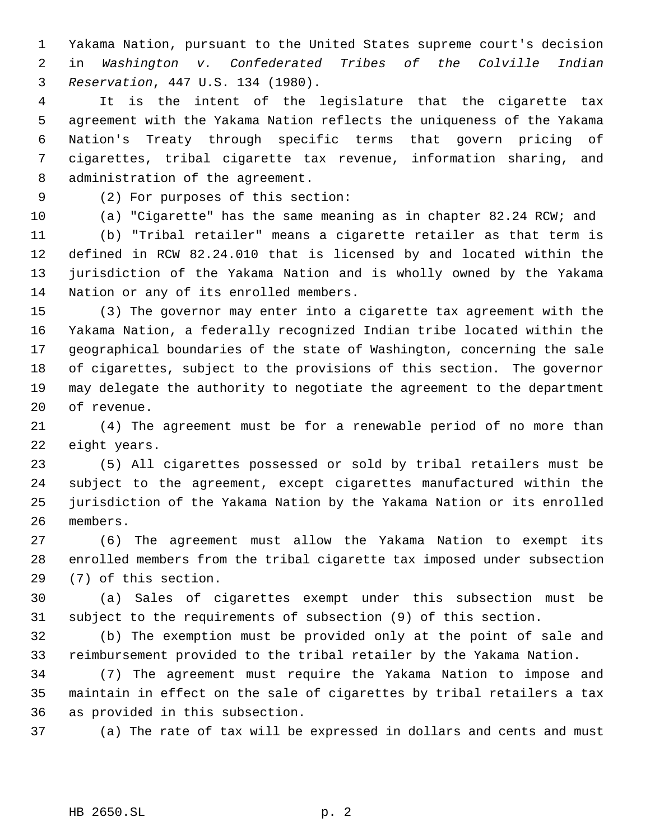Yakama Nation, pursuant to the United States supreme court's decision in *Washington v. Confederated Tribes of the Colville Indian Reservation*, 447 U.S. 134 (1980).

 It is the intent of the legislature that the cigarette tax agreement with the Yakama Nation reflects the uniqueness of the Yakama Nation's Treaty through specific terms that govern pricing of cigarettes, tribal cigarette tax revenue, information sharing, and administration of the agreement.

(2) For purposes of this section:

(a) "Cigarette" has the same meaning as in chapter 82.24 RCW; and

 (b) "Tribal retailer" means a cigarette retailer as that term is defined in RCW 82.24.010 that is licensed by and located within the jurisdiction of the Yakama Nation and is wholly owned by the Yakama Nation or any of its enrolled members.

 (3) The governor may enter into a cigarette tax agreement with the Yakama Nation, a federally recognized Indian tribe located within the geographical boundaries of the state of Washington, concerning the sale of cigarettes, subject to the provisions of this section. The governor may delegate the authority to negotiate the agreement to the department of revenue.

 (4) The agreement must be for a renewable period of no more than eight years.

 (5) All cigarettes possessed or sold by tribal retailers must be subject to the agreement, except cigarettes manufactured within the jurisdiction of the Yakama Nation by the Yakama Nation or its enrolled members.

 (6) The agreement must allow the Yakama Nation to exempt its enrolled members from the tribal cigarette tax imposed under subsection (7) of this section.

 (a) Sales of cigarettes exempt under this subsection must be subject to the requirements of subsection (9) of this section.

 (b) The exemption must be provided only at the point of sale and reimbursement provided to the tribal retailer by the Yakama Nation.

 (7) The agreement must require the Yakama Nation to impose and maintain in effect on the sale of cigarettes by tribal retailers a tax as provided in this subsection.

(a) The rate of tax will be expressed in dollars and cents and must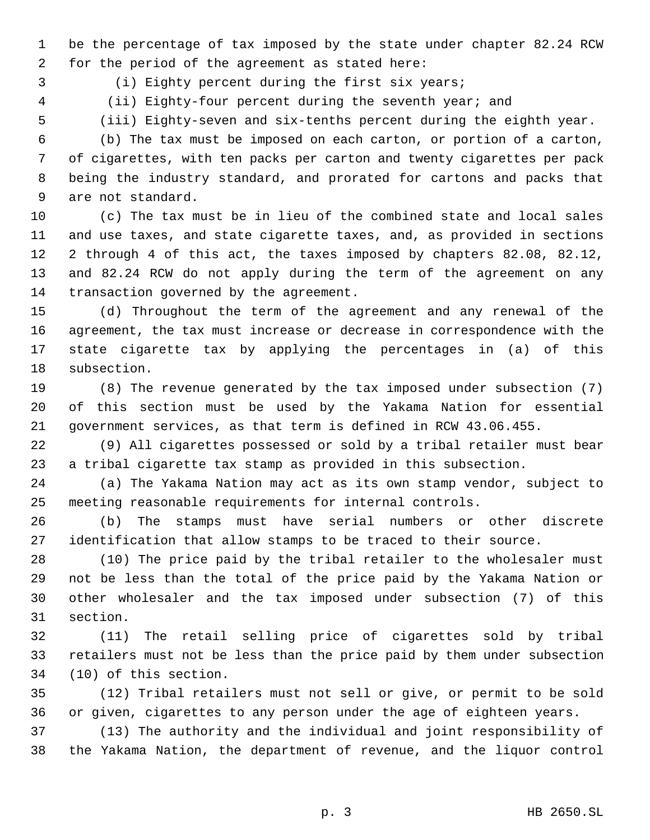be the percentage of tax imposed by the state under chapter 82.24 RCW for the period of the agreement as stated here:

3 (i) Eighty percent during the first six years;

4 (ii) Eighty-four percent during the seventh year; and

(iii) Eighty-seven and six-tenths percent during the eighth year.

 (b) The tax must be imposed on each carton, or portion of a carton, of cigarettes, with ten packs per carton and twenty cigarettes per pack being the industry standard, and prorated for cartons and packs that are not standard.

 (c) The tax must be in lieu of the combined state and local sales and use taxes, and state cigarette taxes, and, as provided in sections 2 through 4 of this act, the taxes imposed by chapters 82.08, 82.12, and 82.24 RCW do not apply during the term of the agreement on any transaction governed by the agreement.

 (d) Throughout the term of the agreement and any renewal of the agreement, the tax must increase or decrease in correspondence with the state cigarette tax by applying the percentages in (a) of this subsection.

 (8) The revenue generated by the tax imposed under subsection (7) of this section must be used by the Yakama Nation for essential government services, as that term is defined in RCW 43.06.455.

 (9) All cigarettes possessed or sold by a tribal retailer must bear a tribal cigarette tax stamp as provided in this subsection.

 (a) The Yakama Nation may act as its own stamp vendor, subject to meeting reasonable requirements for internal controls.

 (b) The stamps must have serial numbers or other discrete identification that allow stamps to be traced to their source.

 (10) The price paid by the tribal retailer to the wholesaler must not be less than the total of the price paid by the Yakama Nation or other wholesaler and the tax imposed under subsection (7) of this section.

 (11) The retail selling price of cigarettes sold by tribal retailers must not be less than the price paid by them under subsection (10) of this section.

 (12) Tribal retailers must not sell or give, or permit to be sold or given, cigarettes to any person under the age of eighteen years.

 (13) The authority and the individual and joint responsibility of the Yakama Nation, the department of revenue, and the liquor control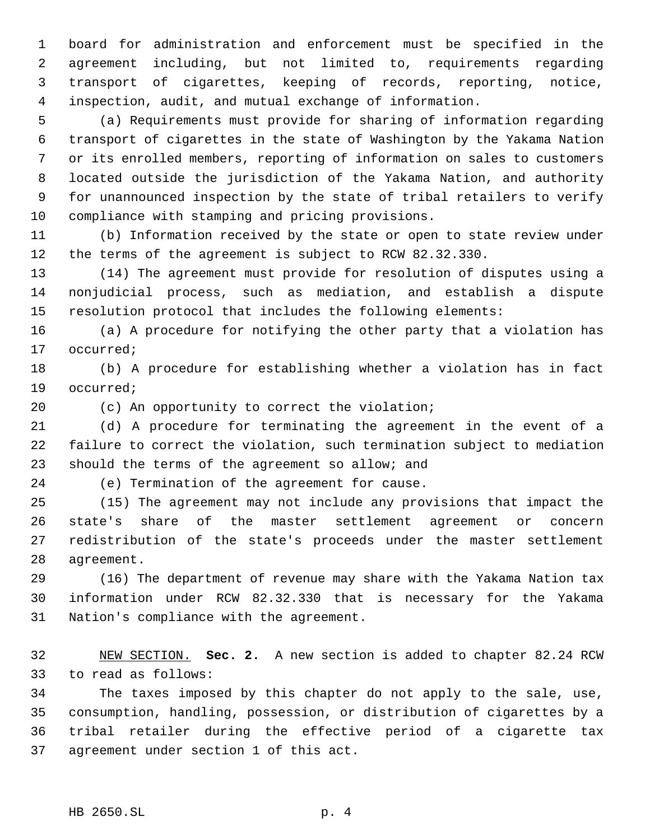board for administration and enforcement must be specified in the agreement including, but not limited to, requirements regarding transport of cigarettes, keeping of records, reporting, notice, inspection, audit, and mutual exchange of information.

 (a) Requirements must provide for sharing of information regarding transport of cigarettes in the state of Washington by the Yakama Nation or its enrolled members, reporting of information on sales to customers located outside the jurisdiction of the Yakama Nation, and authority for unannounced inspection by the state of tribal retailers to verify compliance with stamping and pricing provisions.

 (b) Information received by the state or open to state review under the terms of the agreement is subject to RCW 82.32.330.

 (14) The agreement must provide for resolution of disputes using a nonjudicial process, such as mediation, and establish a dispute resolution protocol that includes the following elements:

 (a) A procedure for notifying the other party that a violation has occurred;

 (b) A procedure for establishing whether a violation has in fact occurred;

(c) An opportunity to correct the violation;

 (d) A procedure for terminating the agreement in the event of a failure to correct the violation, such termination subject to mediation should the terms of the agreement so allow; and

(e) Termination of the agreement for cause.

 (15) The agreement may not include any provisions that impact the state's share of the master settlement agreement or concern redistribution of the state's proceeds under the master settlement agreement.

 (16) The department of revenue may share with the Yakama Nation tax information under RCW 82.32.330 that is necessary for the Yakama Nation's compliance with the agreement.

 NEW SECTION. **Sec. 2.** A new section is added to chapter 82.24 RCW to read as follows:

 The taxes imposed by this chapter do not apply to the sale, use, consumption, handling, possession, or distribution of cigarettes by a tribal retailer during the effective period of a cigarette tax agreement under section 1 of this act.